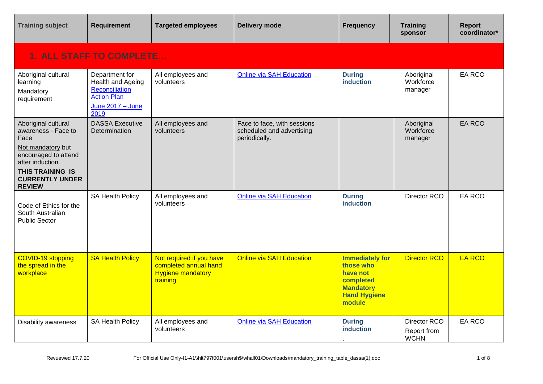| <b>Training subject</b>                                                                                                                                                                   | Requirement                                                                                             | <b>Targeted employees</b>                                                                 | <b>Delivery mode</b>                                                      | <b>Frequency</b>                                                                                                  | <b>Training</b><br>sponsor                 | <b>Report</b><br>coordinator* |  |  |
|-------------------------------------------------------------------------------------------------------------------------------------------------------------------------------------------|---------------------------------------------------------------------------------------------------------|-------------------------------------------------------------------------------------------|---------------------------------------------------------------------------|-------------------------------------------------------------------------------------------------------------------|--------------------------------------------|-------------------------------|--|--|
|                                                                                                                                                                                           | <b>1. ALL STAFF TO COMPLETE</b>                                                                         |                                                                                           |                                                                           |                                                                                                                   |                                            |                               |  |  |
| Aboriginal cultural<br>learning<br>Mandatory<br>requirement                                                                                                                               | Department for<br>Health and Ageing<br>Reconciliation<br><b>Action Plan</b><br>June 2017 - June<br>2019 | All employees and<br>volunteers                                                           | <b>Online via SAH Education</b>                                           | <b>During</b><br><b>induction</b>                                                                                 | Aboriginal<br>Workforce<br>manager         | EA RCO                        |  |  |
| Aboriginal cultural<br>awareness - Face to<br>Face<br>Not mandatory but<br>encouraged to attend<br>after induction.<br><b>THIS TRAINING IS</b><br><b>CURRENTLY UNDER</b><br><b>REVIEW</b> | <b>DASSA Executive</b><br>Determination                                                                 | All employees and<br>volunteers                                                           | Face to face, with sessions<br>scheduled and advertising<br>periodically. |                                                                                                                   | Aboriginal<br>Workforce<br>manager         | <b>EA RCO</b>                 |  |  |
| Code of Ethics for the<br>South Australian<br><b>Public Sector</b>                                                                                                                        | SA Health Policy                                                                                        | All employees and<br>volunteers                                                           | <b>Online via SAH Education</b>                                           | <b>During</b><br>induction                                                                                        | Director RCO                               | EA RCO                        |  |  |
| COVID-19 stopping<br>the spread in the<br>workplace                                                                                                                                       | <b>SA Health Policy</b>                                                                                 | Not required if you have<br>completed annual hand<br><b>Hygiene mandatory</b><br>training | <b>Online via SAH Education</b>                                           | <b>Immediately for</b><br>those who<br>have not<br>completed<br><b>Mandatory</b><br><b>Hand Hygiene</b><br>module | <b>Director RCO</b>                        | <b>EA RCO</b>                 |  |  |
| <b>Disability awareness</b>                                                                                                                                                               | SA Health Policy                                                                                        | All employees and<br>volunteers                                                           | <b>Online via SAH Education</b>                                           | <b>During</b><br>induction                                                                                        | Director RCO<br>Report from<br><b>WCHN</b> | <b>EA RCO</b>                 |  |  |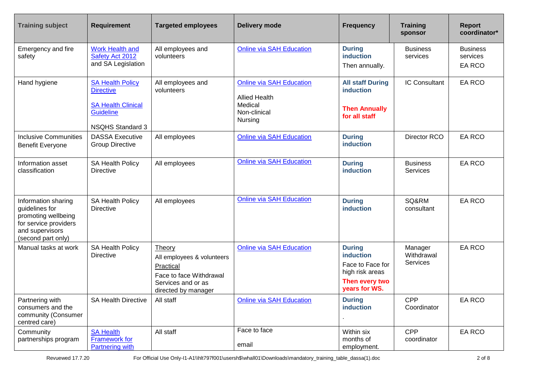| <b>Training subject</b>                                                                                                        | <b>Requirement</b>                                                                                                      | <b>Targeted employees</b>                                                                                                 | <b>Delivery mode</b>                                                                          | <b>Frequency</b>                                                                                            | <b>Training</b><br>sponsor               | Report<br>coordinator*                |
|--------------------------------------------------------------------------------------------------------------------------------|-------------------------------------------------------------------------------------------------------------------------|---------------------------------------------------------------------------------------------------------------------------|-----------------------------------------------------------------------------------------------|-------------------------------------------------------------------------------------------------------------|------------------------------------------|---------------------------------------|
| Emergency and fire<br>safety                                                                                                   | <b>Work Health and</b><br>Safety Act 2012<br>and SA Legislation                                                         | All employees and<br>volunteers                                                                                           | <b>Online via SAH Education</b>                                                               | <b>During</b><br><b>induction</b><br>Then annually.                                                         | <b>Business</b><br>services              | <b>Business</b><br>services<br>EA RCO |
| Hand hygiene                                                                                                                   | <b>SA Health Policy</b><br><b>Directive</b><br><b>SA Health Clinical</b><br><b>Guideline</b><br><b>NSQHS Standard 3</b> | All employees and<br>volunteers                                                                                           | <b>Online via SAH Education</b><br><b>Allied Health</b><br>Medical<br>Non-clinical<br>Nursing | <b>All staff During</b><br><b>induction</b><br><b>Then Annually</b><br>for all staff                        | <b>IC Consultant</b>                     | EA RCO                                |
| <b>Inclusive Communities</b><br><b>Benefit Everyone</b>                                                                        | <b>DASSA Executive</b><br><b>Group Directive</b>                                                                        | All employees                                                                                                             | <b>Online via SAH Education</b>                                                               | <b>During</b><br><b>induction</b>                                                                           | Director RCO                             | EA RCO                                |
| Information asset<br>classification                                                                                            | SA Health Policy<br><b>Directive</b>                                                                                    | All employees                                                                                                             | <b>Online via SAH Education</b>                                                               | <b>During</b><br><b>induction</b>                                                                           | <b>Business</b><br>Services              | EA RCO                                |
| Information sharing<br>guidelines for<br>promoting wellbeing<br>for service providers<br>and supervisors<br>(second part only) | SA Health Policy<br><b>Directive</b>                                                                                    | All employees                                                                                                             | <b>Online via SAH Education</b>                                                               | <b>During</b><br><b>induction</b>                                                                           | SQ&RM<br>consultant                      | EA RCO                                |
| Manual tasks at work                                                                                                           | SA Health Policy<br><b>Directive</b>                                                                                    | Theory<br>All employees & volunteers<br>Practical<br>Face to face Withdrawal<br>Services and or as<br>directed by manager | <b>Online via SAH Education</b>                                                               | <b>During</b><br><b>induction</b><br>Face to Face for<br>high risk areas<br>Then every two<br>years for WS. | Manager<br>Withdrawal<br><b>Services</b> | EA RCO                                |
| Partnering with<br>consumers and the<br>community (Consumer<br>centred care)                                                   | <b>SA Health Directive</b>                                                                                              | All staff                                                                                                                 | <b>Online via SAH Education</b>                                                               | <b>During</b><br>induction                                                                                  | <b>CPP</b><br>Coordinator                | <b>EA RCO</b>                         |
| Community<br>partnerships program                                                                                              | <b>SA Health</b><br><b>Framework for</b><br><b>Partnering with</b>                                                      | All staff                                                                                                                 | Face to face<br>email                                                                         | Within six<br>months of<br>employment.                                                                      | <b>CPP</b><br>coordinator                | EA RCO                                |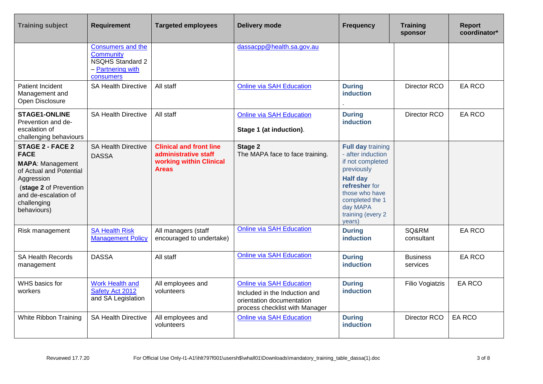| <b>Training subject</b>                                                                                                                                                                    | <b>Requirement</b>                                                                                 | <b>Targeted employees</b>                                                                         | <b>Delivery mode</b>                                                                                                            | <b>Frequency</b>                                                                                                                                                                                    | <b>Training</b><br>sponsor  | <b>Report</b><br>coordinator* |
|--------------------------------------------------------------------------------------------------------------------------------------------------------------------------------------------|----------------------------------------------------------------------------------------------------|---------------------------------------------------------------------------------------------------|---------------------------------------------------------------------------------------------------------------------------------|-----------------------------------------------------------------------------------------------------------------------------------------------------------------------------------------------------|-----------------------------|-------------------------------|
|                                                                                                                                                                                            | <b>Consumers and the</b><br>Community<br><b>NSQHS Standard 2</b><br>- Partnering with<br>consumers |                                                                                                   | dassacpp@health.sa.gov.au                                                                                                       |                                                                                                                                                                                                     |                             |                               |
| Patient Incident<br>Management and<br>Open Disclosure                                                                                                                                      | <b>SA Health Directive</b>                                                                         | All staff                                                                                         | <b>Online via SAH Education</b>                                                                                                 | <b>During</b><br><b>induction</b>                                                                                                                                                                   | Director RCO                | <b>EA RCO</b>                 |
| <b>STAGE1-ONLINE</b><br>Prevention and de-<br>escalation of<br>challenging behaviours                                                                                                      | <b>SA Health Directive</b>                                                                         | All staff                                                                                         | <b>Online via SAH Education</b><br>Stage 1 (at induction).                                                                      | <b>During</b><br>induction                                                                                                                                                                          | Director RCO                | <b>EA RCO</b>                 |
| <b>STAGE 2 - FACE 2</b><br><b>FACE</b><br><b>MAPA: Management</b><br>of Actual and Potential<br>Aggression<br>(stage 2 of Prevention<br>and de-escalation of<br>challenging<br>behaviours) | <b>SA Health Directive</b><br><b>DASSA</b>                                                         | <b>Clinical and front line</b><br>administrative staff<br>working within Clinical<br><b>Areas</b> | Stage 2<br>The MAPA face to face training.                                                                                      | <b>Full day training</b><br>- after induction<br>if not completed<br>previously<br><b>Half day</b><br>refresher for<br>those who have<br>completed the 1<br>day MAPA<br>training (every 2<br>years) |                             |                               |
| Risk management                                                                                                                                                                            | <b>SA Health Risk</b><br><b>Management Policy</b>                                                  | All managers (staff<br>encouraged to undertake)                                                   | <b>Online via SAH Education</b>                                                                                                 | <b>During</b><br><b>induction</b>                                                                                                                                                                   | SQ&RM<br>consultant         | <b>EA RCO</b>                 |
| <b>SA Health Records</b><br>management                                                                                                                                                     | <b>DASSA</b>                                                                                       | All staff                                                                                         | <b>Online via SAH Education</b>                                                                                                 | <b>During</b><br><b>induction</b>                                                                                                                                                                   | <b>Business</b><br>services | EA RCO                        |
| WHS basics for<br>workers                                                                                                                                                                  | <b>Work Health and</b><br>Safety Act 2012<br>and SA Legislation                                    | All employees and<br>volunteers                                                                   | <b>Online via SAH Education</b><br>Included in the Induction and<br>orientation documentation<br>process checklist with Manager | <b>During</b><br><b>induction</b>                                                                                                                                                                   | Filio Vogiatzis             | EA RCO                        |
| White Ribbon Training                                                                                                                                                                      | <b>SA Health Directive</b>                                                                         | All employees and<br>volunteers                                                                   | <b>Online via SAH Education</b>                                                                                                 | <b>During</b><br><b>induction</b>                                                                                                                                                                   | Director RCO                | <b>EA RCO</b>                 |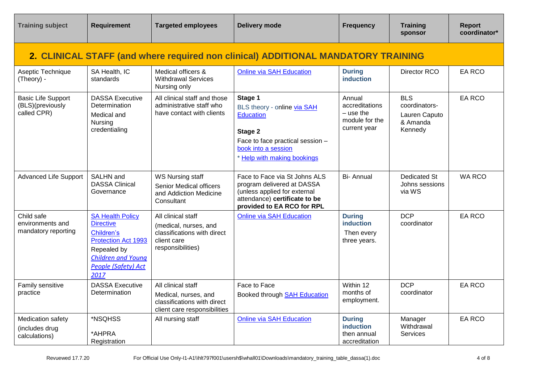| <b>Training subject</b>                                                           | <b>Requirement</b>                                                                                                                                                        | <b>Targeted employees</b>                                                                                      | <b>Delivery mode</b>                                                                                                                                            | <b>Frequency</b>                                                          | <b>Training</b><br>sponsor                                          | <b>Report</b><br>coordinator* |  |  |
|-----------------------------------------------------------------------------------|---------------------------------------------------------------------------------------------------------------------------------------------------------------------------|----------------------------------------------------------------------------------------------------------------|-----------------------------------------------------------------------------------------------------------------------------------------------------------------|---------------------------------------------------------------------------|---------------------------------------------------------------------|-------------------------------|--|--|
| 2. CLINICAL STAFF (and where required non clinical) ADDITIONAL MANDATORY TRAINING |                                                                                                                                                                           |                                                                                                                |                                                                                                                                                                 |                                                                           |                                                                     |                               |  |  |
| Aseptic Technique<br>(Theory) -                                                   | SA Health, IC<br>standards                                                                                                                                                | Medical officers &<br><b>Withdrawal Services</b><br>Nursing only                                               | <b>Online via SAH Education</b>                                                                                                                                 | <b>During</b><br><b>induction</b>                                         | Director RCO                                                        | EA RCO                        |  |  |
| <b>Basic Life Support</b><br>(BLS)(previously<br>called CPR)                      | <b>DASSA Executive</b><br>Determination<br>Medical and<br>Nursing<br>credentialing                                                                                        | All clinical staff and those<br>administrative staff who<br>have contact with clients                          | Stage 1<br>BLS theory - online via SAH<br><b>Education</b><br>Stage 2<br>Face to face practical session -<br>book into a session<br>* Help with making bookings | Annual<br>accreditations<br>$-$ use the<br>module for the<br>current year | <b>BLS</b><br>coordinators-<br>Lauren Caputo<br>& Amanda<br>Kennedy | EA RCO                        |  |  |
| <b>Advanced Life Support</b>                                                      | SALHN and<br><b>DASSA Clinical</b><br>Governance                                                                                                                          | <b>WS Nursing staff</b><br>Senior Medical officers<br>and Addiction Medicine<br>Consultant                     | Face to Face via St Johns ALS<br>program delivered at DASSA<br>(unless applied for external<br>attendance) certificate to be<br>provided to EA RCO for RPL      | <b>Bi-Annual</b>                                                          | <b>Dedicated St</b><br>Johns sessions<br>via WS                     | <b>WA RCO</b>                 |  |  |
| Child safe<br>environments and<br>mandatory reporting                             | <b>SA Health Policy</b><br><b>Directive</b><br>Children's<br><b>Protection Act 1993</b><br>Repealed by<br><b>Children and Young</b><br><b>People (Safety) Act</b><br>2017 | All clinical staff<br>(medical, nurses, and<br>classifications with direct<br>client care<br>responsibilities) | <b>Online via SAH Education</b>                                                                                                                                 | <b>During</b><br><b>induction</b><br>Then every<br>three years.           | <b>DCP</b><br>coordinator                                           | EA RCO                        |  |  |
| Family sensitive<br>practice                                                      | <b>DASSA Executive</b><br>Determination                                                                                                                                   | All clinical staff<br>Medical, nurses, and<br>classifications with direct<br>client care responsibilities      | Face to Face<br><b>Booked through SAH Education</b>                                                                                                             | Within 12<br>months of<br>employment.                                     | <b>DCP</b><br>coordinator                                           | EA RCO                        |  |  |
| Medication safety<br>(includes drug<br>calculations)                              | *NSQHSS<br>*AHPRA<br>Registration                                                                                                                                         | All nursing staff                                                                                              | <b>Online via SAH Education</b>                                                                                                                                 | <b>During</b><br><b>induction</b><br>then annual<br>accreditation         | Manager<br>Withdrawal<br><b>Services</b>                            | EA RCO                        |  |  |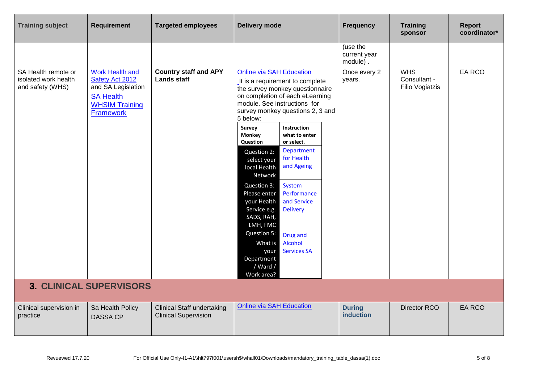| <b>Training subject</b>                                         | <b>Requirement</b>                                                                                                        | <b>Targeted employees</b>                                        | <b>Delivery mode</b>                                                                                                                                                                                                                                                                                                                                                                                                                                                                                                                                                                                                                                                                                     | <b>Frequency</b>                     | <b>Training</b><br>sponsor                           | <b>Report</b><br>coordinator* |
|-----------------------------------------------------------------|---------------------------------------------------------------------------------------------------------------------------|------------------------------------------------------------------|----------------------------------------------------------------------------------------------------------------------------------------------------------------------------------------------------------------------------------------------------------------------------------------------------------------------------------------------------------------------------------------------------------------------------------------------------------------------------------------------------------------------------------------------------------------------------------------------------------------------------------------------------------------------------------------------------------|--------------------------------------|------------------------------------------------------|-------------------------------|
|                                                                 |                                                                                                                           |                                                                  |                                                                                                                                                                                                                                                                                                                                                                                                                                                                                                                                                                                                                                                                                                          | (use the<br>current year<br>module). |                                                      |                               |
| SA Health remote or<br>isolated work health<br>and safety (WHS) | Work Health and<br>Safety Act 2012<br>and SA Legislation<br><b>SA Health</b><br><b>WHSIM Training</b><br><b>Framework</b> | <b>Country staff and APY</b><br><b>Lands staff</b>               | <b>Online via SAH Education</b><br>It is a requirement to complete<br>the survey monkey questionnaire<br>on completion of each eLearning<br>module. See instructions for<br>survey monkey questions 2, 3 and<br>5 below:<br><b>Instruction</b><br>Survey<br><b>Monkey</b><br>what to enter<br>Question<br>or select.<br><b>Department</b><br>Question 2:<br>for Health<br>select your<br>and Ageing<br>local Health<br>Network<br>System<br>Question 3:<br>Performance<br>Please enter<br>and Service<br>your Health<br>Service e.g.<br><b>Delivery</b><br>SADS, RAH,<br>LMH, FMC<br>Question 5:<br>Drug and<br>Alcohol<br>What is<br><b>Services SA</b><br>your<br>Department<br>/ Ward /<br>Work area? | Once every 2<br>years.               | <b>WHS</b><br>Consultant -<br><b>Filio Vogiatzis</b> | EA RCO                        |
|                                                                 | <b>3. CLINICAL SUPERVISORS</b>                                                                                            |                                                                  |                                                                                                                                                                                                                                                                                                                                                                                                                                                                                                                                                                                                                                                                                                          |                                      |                                                      |                               |
| Clinical supervision in<br>practice                             | Sa Health Policy<br><b>DASSA CP</b>                                                                                       | <b>Clinical Staff undertaking</b><br><b>Clinical Supervision</b> | <b>Online via SAH Education</b>                                                                                                                                                                                                                                                                                                                                                                                                                                                                                                                                                                                                                                                                          | <b>During</b><br>induction           | Director RCO                                         | <b>EA RCO</b>                 |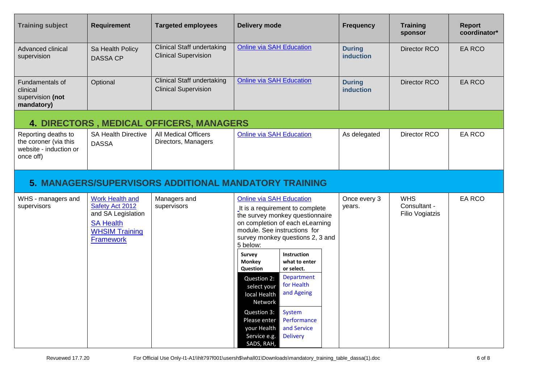| <b>Training subject</b>                                                             | <b>Requirement</b>                                                                                                               | <b>Targeted employees</b>                                        | <b>Delivery mode</b>                                                                                                                                                                                                                                                                                                                                                                                                                                                                                                                                                  | <b>Frequency</b>                  | <b>Training</b><br>sponsor                           | Report<br>coordinator* |
|-------------------------------------------------------------------------------------|----------------------------------------------------------------------------------------------------------------------------------|------------------------------------------------------------------|-----------------------------------------------------------------------------------------------------------------------------------------------------------------------------------------------------------------------------------------------------------------------------------------------------------------------------------------------------------------------------------------------------------------------------------------------------------------------------------------------------------------------------------------------------------------------|-----------------------------------|------------------------------------------------------|------------------------|
| Advanced clinical<br>supervision                                                    | Sa Health Policy<br><b>DASSA CP</b>                                                                                              | <b>Clinical Staff undertaking</b><br><b>Clinical Supervision</b> | <b>Online via SAH Education</b>                                                                                                                                                                                                                                                                                                                                                                                                                                                                                                                                       | <b>During</b><br><b>induction</b> | Director RCO                                         | <b>EA RCO</b>          |
| Fundamentals of<br>clinical<br>supervision (not<br>mandatory)                       | Optional                                                                                                                         | <b>Clinical Staff undertaking</b><br><b>Clinical Supervision</b> | <b>Online via SAH Education</b>                                                                                                                                                                                                                                                                                                                                                                                                                                                                                                                                       | <b>During</b><br><b>induction</b> | Director RCO                                         | EA RCO                 |
|                                                                                     |                                                                                                                                  | <b>4. DIRECTORS, MEDICAL OFFICERS, MANAGERS</b>                  |                                                                                                                                                                                                                                                                                                                                                                                                                                                                                                                                                                       |                                   |                                                      |                        |
| Reporting deaths to<br>the coroner (via this<br>website - induction or<br>once off) | <b>SA Health Directive</b><br><b>DASSA</b>                                                                                       | All Medical Officers<br>Directors, Managers                      | <b>Online via SAH Education</b>                                                                                                                                                                                                                                                                                                                                                                                                                                                                                                                                       | As delegated                      | Director RCO                                         | EA RCO                 |
|                                                                                     |                                                                                                                                  |                                                                  | 5. MANAGERS/SUPERVISORS ADDITIONAL MANDATORY TRAINING                                                                                                                                                                                                                                                                                                                                                                                                                                                                                                                 |                                   |                                                      |                        |
| WHS - managers and<br>supervisors                                                   | <b>Work Health and</b><br>Safety Act 2012<br>and SA Legislation<br><b>SA Health</b><br><b>WHSIM Training</b><br><b>Framework</b> | Managers and<br>supervisors                                      | <b>Online via SAH Education</b><br>It is a requirement to complete<br>the survey monkey questionnaire<br>on completion of each eLearning<br>module. See instructions for<br>survey monkey questions 2, 3 and<br>5 below:<br>Survey<br><b>Instruction</b><br>Monkey<br>what to enter<br>Question<br>or select.<br><b>Department</b><br>Question 2:<br>for Health<br>select your<br>and Ageing<br>local Health<br>Network<br><b>System</b><br>Question 3:<br>Performance<br>Please enter<br>and Service<br>your Health<br><b>Delivery</b><br>Service e.g.<br>SADS, RAH, | Once every 3<br>years.            | <b>WHS</b><br>Consultant -<br><b>Filio Vogiatzis</b> | EA RCO                 |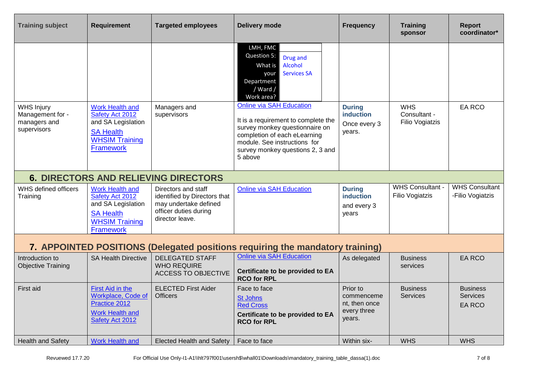| <b>Training subject</b>                                              | <b>Requirement</b>                                                                                                               | <b>Targeted employees</b>                                                                                                | <b>Delivery mode</b>                                                                                                                                                                                                    | <b>Frequency</b>                                                 | <b>Training</b><br>sponsor                        | <b>Report</b><br>coordinator*                       |
|----------------------------------------------------------------------|----------------------------------------------------------------------------------------------------------------------------------|--------------------------------------------------------------------------------------------------------------------------|-------------------------------------------------------------------------------------------------------------------------------------------------------------------------------------------------------------------------|------------------------------------------------------------------|---------------------------------------------------|-----------------------------------------------------|
|                                                                      |                                                                                                                                  |                                                                                                                          | LMH, FMC<br>Question 5:<br>Drug and<br>Alcohol<br>What is<br><b>Services SA</b><br>your<br>Department<br>/ Ward /<br>Work area?                                                                                         |                                                                  |                                                   |                                                     |
| <b>WHS Injury</b><br>Management for -<br>managers and<br>supervisors | <b>Work Health and</b><br>Safety Act 2012<br>and SA Legislation<br><b>SA Health</b><br><b>WHSIM Training</b><br><b>Framework</b> | Managers and<br>supervisors                                                                                              | <b>Online via SAH Education</b><br>It is a requirement to complete the<br>survey monkey questionnaire on<br>completion of each eLearning<br>module. See instructions for<br>survey monkey questions 2, 3 and<br>5 above | <b>During</b><br><b>induction</b><br>Once every 3<br>years.      | <b>WHS</b><br>Consultant -<br>Filio Vogiatzis     | <b>EA RCO</b>                                       |
|                                                                      |                                                                                                                                  | <b>6. DIRECTORS AND RELIEVING DIRECTORS</b>                                                                              |                                                                                                                                                                                                                         |                                                                  |                                                   |                                                     |
| WHS defined officers<br>Training                                     | <b>Work Health and</b><br>Safety Act 2012<br>and SA Legislation<br><b>SA Health</b><br><b>WHSIM Training</b><br><b>Framework</b> | Directors and staff<br>identified by Directors that<br>may undertake defined<br>officer duties during<br>director leave. | <b>Online via SAH Education</b>                                                                                                                                                                                         | <b>During</b><br><b>induction</b><br>and every 3<br>years        | <b>WHS Consultant -</b><br><b>Filio Vogiatzis</b> | <b>WHS Consultant</b><br>-Filio Vogiatzis           |
|                                                                      |                                                                                                                                  |                                                                                                                          | 7. APPOINTED POSITIONS (Delegated positions requiring the mandatory training)                                                                                                                                           |                                                                  |                                                   |                                                     |
| Introduction to<br><b>Objective Training</b>                         | <b>SA Health Directive</b>                                                                                                       | <b>DELEGATED STAFF</b><br><b>WHO REQUIRE</b><br><b>ACCESS TO OBJECTIVE</b>                                               | <b>Online via SAH Education</b><br>Certificate to be provided to EA<br><b>RCO for RPL</b>                                                                                                                               | As delegated                                                     | <b>Business</b><br>services                       | <b>EA RCO</b>                                       |
| First aid                                                            | First Aid in the<br>Workplace, Code of<br>Practice 2012<br><b>Work Health and</b><br>Safety Act 2012                             | <b>ELECTED First Aider</b><br><b>Officers</b>                                                                            | Face to face<br><b>St Johns</b><br><b>Red Cross</b><br>Certificate to be provided to EA<br><b>RCO for RPL</b>                                                                                                           | Prior to<br>commenceme<br>nt, then once<br>every three<br>years. | <b>Business</b><br><b>Services</b>                | <b>Business</b><br><b>Services</b><br><b>EA RCO</b> |
| <b>Health and Safety</b>                                             | <b>Work Health and</b>                                                                                                           | <b>Elected Health and Safety</b>                                                                                         | Face to face                                                                                                                                                                                                            | Within six-                                                      | <b>WHS</b>                                        | <b>WHS</b>                                          |